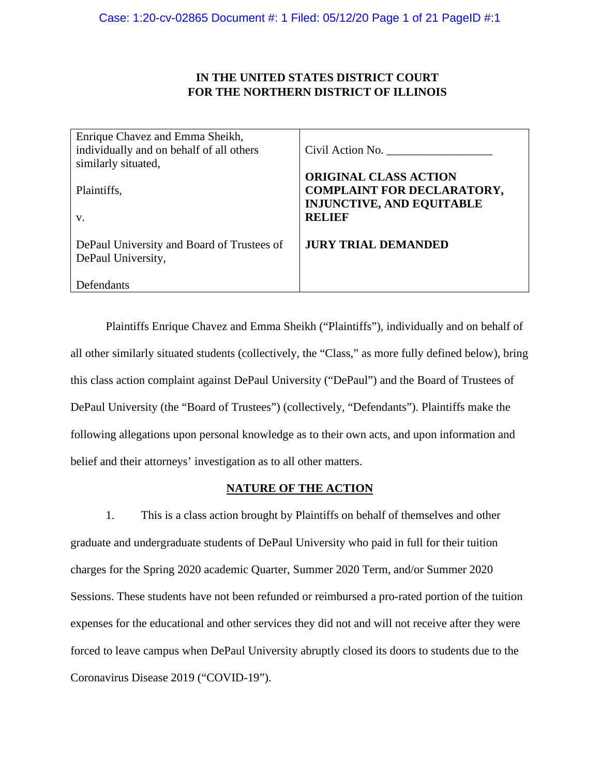# **IN THE UNITED STATES DISTRICT COURT FOR THE NORTHERN DISTRICT OF ILLINOIS**

| Enrique Chavez and Emma Sheikh,                                  |                                                                                                       |
|------------------------------------------------------------------|-------------------------------------------------------------------------------------------------------|
| individually and on behalf of all others                         | Civil Action No.                                                                                      |
| similarly situated,                                              |                                                                                                       |
| Plaintiffs,                                                      | <b>ORIGINAL CLASS ACTION</b><br><b>COMPLAINT FOR DECLARATORY,</b><br><b>INJUNCTIVE, AND EQUITABLE</b> |
| V.                                                               | <b>RELIEF</b>                                                                                         |
| DePaul University and Board of Trustees of<br>DePaul University, | <b>JURY TRIAL DEMANDED</b>                                                                            |
| Defendants                                                       |                                                                                                       |

Plaintiffs Enrique Chavez and Emma Sheikh ("Plaintiffs"), individually and on behalf of all other similarly situated students (collectively, the "Class," as more fully defined below), bring this class action complaint against DePaul University ("DePaul") and the Board of Trustees of DePaul University (the "Board of Trustees") (collectively, "Defendants"). Plaintiffs make the following allegations upon personal knowledge as to their own acts, and upon information and belief and their attorneys' investigation as to all other matters.

## **NATURE OF THE ACTION**

1. This is a class action brought by Plaintiffs on behalf of themselves and other graduate and undergraduate students of DePaul University who paid in full for their tuition charges for the Spring 2020 academic Quarter, Summer 2020 Term, and/or Summer 2020 Sessions. These students have not been refunded or reimbursed a pro-rated portion of the tuition expenses for the educational and other services they did not and will not receive after they were forced to leave campus when DePaul University abruptly closed its doors to students due to the Coronavirus Disease 2019 ("COVID-19").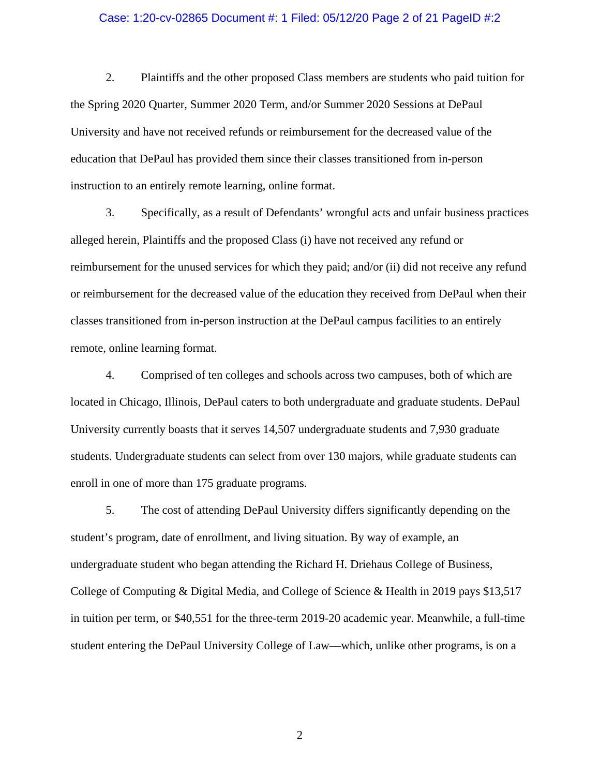### Case: 1:20-cv-02865 Document #: 1 Filed: 05/12/20 Page 2 of 21 PageID #:2

2. Plaintiffs and the other proposed Class members are students who paid tuition for the Spring 2020 Quarter, Summer 2020 Term, and/or Summer 2020 Sessions at DePaul University and have not received refunds or reimbursement for the decreased value of the education that DePaul has provided them since their classes transitioned from in-person instruction to an entirely remote learning, online format.

3. Specifically, as a result of Defendants' wrongful acts and unfair business practices alleged herein, Plaintiffs and the proposed Class (i) have not received any refund or reimbursement for the unused services for which they paid; and/or (ii) did not receive any refund or reimbursement for the decreased value of the education they received from DePaul when their classes transitioned from in-person instruction at the DePaul campus facilities to an entirely remote, online learning format.

4. Comprised of ten colleges and schools across two campuses, both of which are located in Chicago, Illinois, DePaul caters to both undergraduate and graduate students. DePaul University currently boasts that it serves 14,507 undergraduate students and 7,930 graduate students. Undergraduate students can select from over 130 majors, while graduate students can enroll in one of more than 175 graduate programs.

5. The cost of attending DePaul University differs significantly depending on the student's program, date of enrollment, and living situation. By way of example, an undergraduate student who began attending the Richard H. Driehaus College of Business, College of Computing & Digital Media, and College of Science & Health in 2019 pays \$13,517 in tuition per term, or \$40,551 for the three-term 2019-20 academic year. Meanwhile, a full-time student entering the DePaul University College of Law—which, unlike other programs, is on a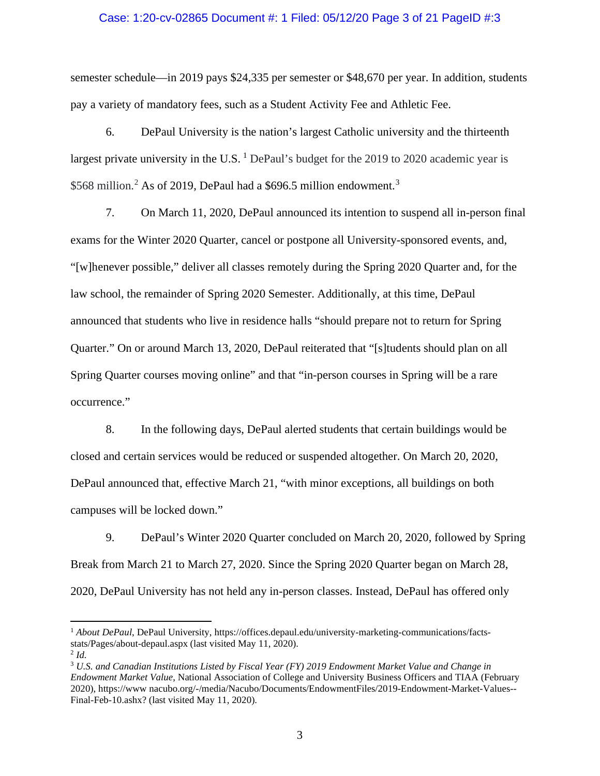### Case: 1:20-cv-02865 Document #: 1 Filed: 05/12/20 Page 3 of 21 PageID #:3

semester schedule—in 2019 pays \$24,335 per semester or \$48,670 per year. In addition, students pay a variety of mandatory fees, such as a Student Activity Fee and Athletic Fee.

6. DePaul University is the nation's largest Catholic university and the thirteenth largest private university in the U.S.  $<sup>1</sup>$  DePaul's budget for the 2019 to 2020 academic year is</sup> \$568 million.<sup>2</sup> As of 2019, DePaul had a \$696.5 million endowment.<sup>3</sup>

7. On March 11, 2020, DePaul announced its intention to suspend all in-person final exams for the Winter 2020 Quarter, cancel or postpone all University-sponsored events, and, "[w]henever possible," deliver all classes remotely during the Spring 2020 Quarter and, for the law school, the remainder of Spring 2020 Semester. Additionally, at this time, DePaul announced that students who live in residence halls "should prepare not to return for Spring Quarter." On or around March 13, 2020, DePaul reiterated that "[s]tudents should plan on all Spring Quarter courses moving online" and that "in-person courses in Spring will be a rare occurrence."

8. In the following days, DePaul alerted students that certain buildings would be closed and certain services would be reduced or suspended altogether. On March 20, 2020, DePaul announced that, effective March 21, "with minor exceptions, all buildings on both campuses will be locked down."

9. DePaul's Winter 2020 Quarter concluded on March 20, 2020, followed by Spring Break from March 21 to March 27, 2020. Since the Spring 2020 Quarter began on March 28, 2020, DePaul University has not held any in-person classes. Instead, DePaul has offered only

<sup>1</sup> *About DePaul*, DePaul University, https://offices.depaul.edu/university-marketing-communications/factsstats/Pages/about-depaul.aspx (last visited May 11, 2020).

<sup>&</sup>lt;sup>2</sup> Id.<br><sup>3</sup> U.S. and Canadian Institutions Listed by Fiscal Year (FY) 2019 Endowment Market Value and Change in *Endowment Market Value*, National Association of College and University Business Officers and TIAA (February 2020), https://www nacubo.org/-/media/Nacubo/Documents/EndowmentFiles/2019-Endowment-Market-Values-- Final-Feb-10.ashx? (last visited May 11, 2020).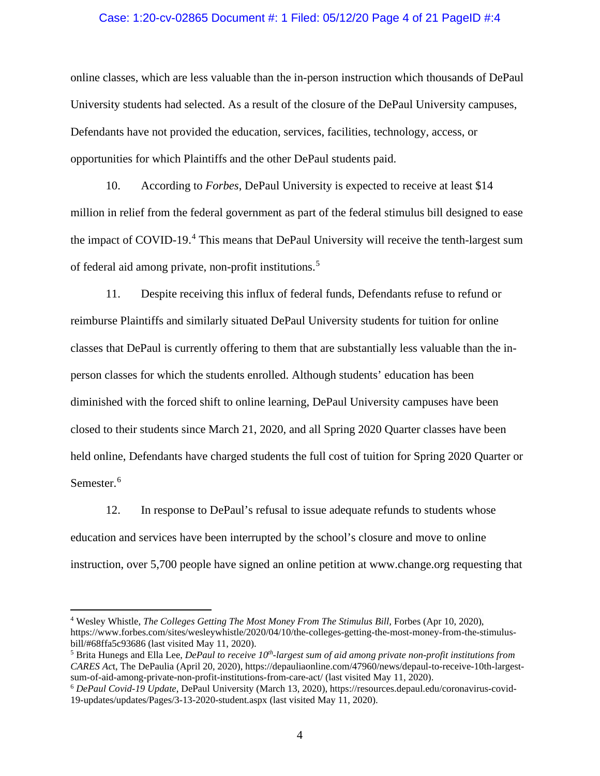### Case: 1:20-cv-02865 Document #: 1 Filed: 05/12/20 Page 4 of 21 PageID #:4

online classes, which are less valuable than the in-person instruction which thousands of DePaul University students had selected. As a result of the closure of the DePaul University campuses, Defendants have not provided the education, services, facilities, technology, access, or opportunities for which Plaintiffs and the other DePaul students paid.

10. According to *Forbes*, DePaul University is expected to receive at least \$14 million in relief from the federal government as part of the federal stimulus bill designed to ease the impact of COVID-19.<sup>4</sup> This means that DePaul University will receive the tenth-largest sum of federal aid among private, non-profit institutions.<sup>5</sup>

11. Despite receiving this influx of federal funds, Defendants refuse to refund or reimburse Plaintiffs and similarly situated DePaul University students for tuition for online classes that DePaul is currently offering to them that are substantially less valuable than the inperson classes for which the students enrolled. Although students' education has been diminished with the forced shift to online learning, DePaul University campuses have been closed to their students since March 21, 2020, and all Spring 2020 Quarter classes have been held online, Defendants have charged students the full cost of tuition for Spring 2020 Quarter or Semester. 6

12. In response to DePaul's refusal to issue adequate refunds to students whose education and services have been interrupted by the school's closure and move to online instruction, over 5,700 people have signed an online petition at www.change.org requesting that

<sup>4</sup> Wesley Whistle, *The Colleges Getting The Most Money From The Stimulus Bill,* Forbes (Apr 10, 2020), https://www.forbes.com/sites/wesleywhistle/2020/04/10/the-colleges-getting-the-most-money-from-the-stimulusbill/#68ffa5c93686 (last visited May 11, 2020).

<sup>5</sup> Brita Hunegs and Ella Lee, *DePaul to receive 10th-largest sum of aid among private non-profit institutions from CARES Ac*t, The DePaulia (April 20, 2020), https://depauliaonline.com/47960/news/depaul-to-receive-10th-largestsum-of-aid-among-private-non-profit-institutions-from-care-act/ (last visited May 11, 2020).

<sup>6</sup> *DePaul Covid-19 Update*, DePaul University (March 13, 2020), https://resources.depaul.edu/coronavirus-covid-19-updates/updates/Pages/3-13-2020-student.aspx (last visited May 11, 2020).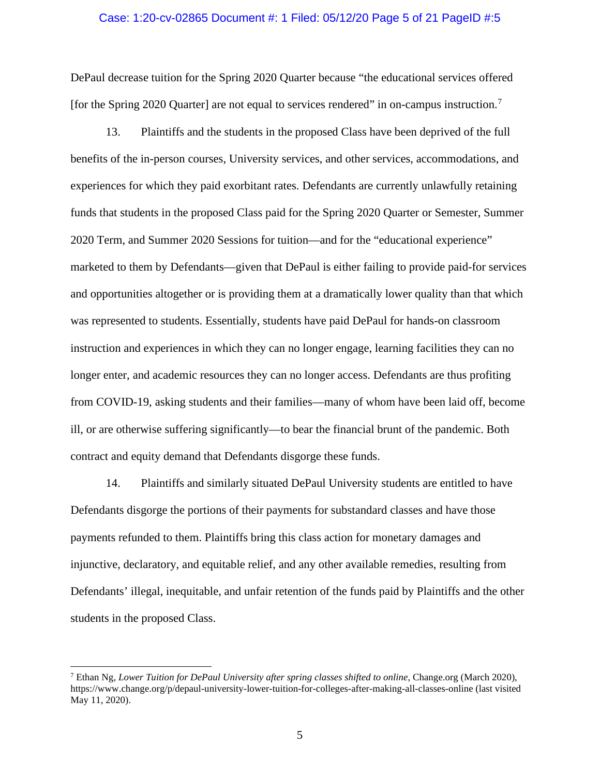### Case: 1:20-cv-02865 Document #: 1 Filed: 05/12/20 Page 5 of 21 PageID #:5

DePaul decrease tuition for the Spring 2020 Quarter because "the educational services offered [for the Spring 2020 Quarter] are not equal to services rendered" in on-campus instruction.<sup>7</sup>

13. Plaintiffs and the students in the proposed Class have been deprived of the full benefits of the in-person courses, University services, and other services, accommodations, and experiences for which they paid exorbitant rates. Defendants are currently unlawfully retaining funds that students in the proposed Class paid for the Spring 2020 Quarter or Semester, Summer 2020 Term, and Summer 2020 Sessions for tuition—and for the "educational experience" marketed to them by Defendants—given that DePaul is either failing to provide paid-for services and opportunities altogether or is providing them at a dramatically lower quality than that which was represented to students. Essentially, students have paid DePaul for hands-on classroom instruction and experiences in which they can no longer engage, learning facilities they can no longer enter, and academic resources they can no longer access. Defendants are thus profiting from COVID-19, asking students and their families—many of whom have been laid off, become ill, or are otherwise suffering significantly—to bear the financial brunt of the pandemic. Both contract and equity demand that Defendants disgorge these funds.

14. Plaintiffs and similarly situated DePaul University students are entitled to have Defendants disgorge the portions of their payments for substandard classes and have those payments refunded to them. Plaintiffs bring this class action for monetary damages and injunctive, declaratory, and equitable relief, and any other available remedies, resulting from Defendants' illegal, inequitable, and unfair retention of the funds paid by Plaintiffs and the other students in the proposed Class.

<sup>7</sup> Ethan Ng, *Lower Tuition for DePaul University after spring classes shifted to online*, Change.org (March 2020), https://www.change.org/p/depaul-university-lower-tuition-for-colleges-after-making-all-classes-online (last visited May 11, 2020).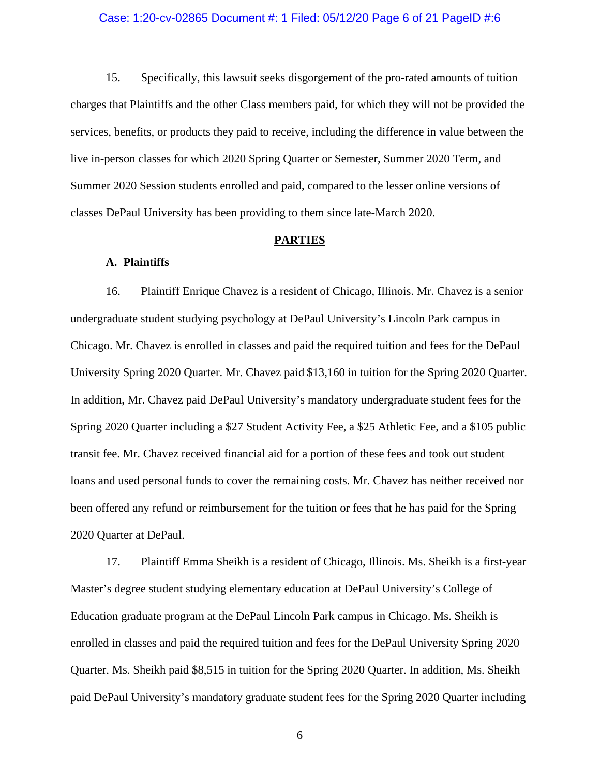### Case: 1:20-cv-02865 Document #: 1 Filed: 05/12/20 Page 6 of 21 PageID #:6

15. Specifically, this lawsuit seeks disgorgement of the pro-rated amounts of tuition charges that Plaintiffs and the other Class members paid, for which they will not be provided the services, benefits, or products they paid to receive, including the difference in value between the live in-person classes for which 2020 Spring Quarter or Semester, Summer 2020 Term, and Summer 2020 Session students enrolled and paid, compared to the lesser online versions of classes DePaul University has been providing to them since late-March 2020.

### **PARTIES**

### **A. Plaintiffs**

16. Plaintiff Enrique Chavez is a resident of Chicago, Illinois. Mr. Chavez is a senior undergraduate student studying psychology at DePaul University's Lincoln Park campus in Chicago. Mr. Chavez is enrolled in classes and paid the required tuition and fees for the DePaul University Spring 2020 Quarter. Mr. Chavez paid \$13,160 in tuition for the Spring 2020 Quarter. In addition, Mr. Chavez paid DePaul University's mandatory undergraduate student fees for the Spring 2020 Quarter including a \$27 Student Activity Fee, a \$25 Athletic Fee, and a \$105 public transit fee. Mr. Chavez received financial aid for a portion of these fees and took out student loans and used personal funds to cover the remaining costs. Mr. Chavez has neither received nor been offered any refund or reimbursement for the tuition or fees that he has paid for the Spring 2020 Quarter at DePaul.

17. Plaintiff Emma Sheikh is a resident of Chicago, Illinois. Ms. Sheikh is a first-year Master's degree student studying elementary education at DePaul University's College of Education graduate program at the DePaul Lincoln Park campus in Chicago. Ms. Sheikh is enrolled in classes and paid the required tuition and fees for the DePaul University Spring 2020 Quarter. Ms. Sheikh paid \$8,515 in tuition for the Spring 2020 Quarter. In addition, Ms. Sheikh paid DePaul University's mandatory graduate student fees for the Spring 2020 Quarter including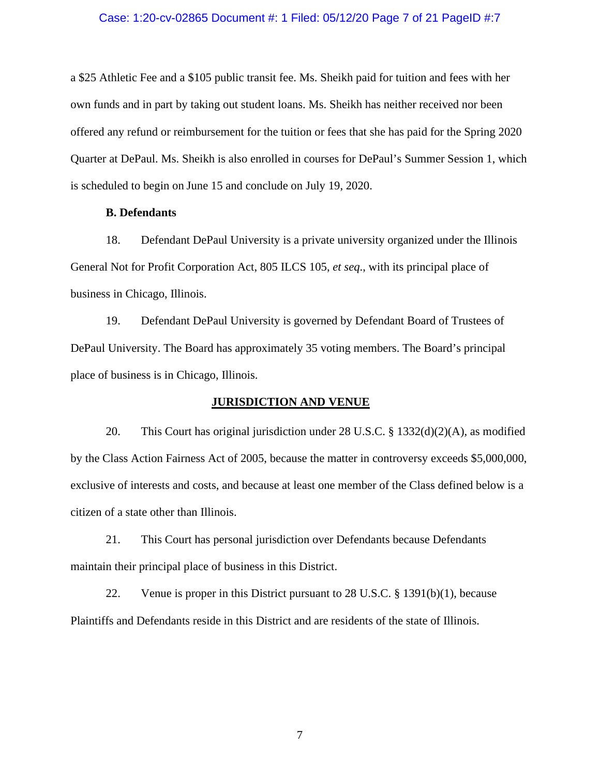### Case: 1:20-cv-02865 Document #: 1 Filed: 05/12/20 Page 7 of 21 PageID #:7

a \$25 Athletic Fee and a \$105 public transit fee. Ms. Sheikh paid for tuition and fees with her own funds and in part by taking out student loans. Ms. Sheikh has neither received nor been offered any refund or reimbursement for the tuition or fees that she has paid for the Spring 2020 Quarter at DePaul. Ms. Sheikh is also enrolled in courses for DePaul's Summer Session 1, which is scheduled to begin on June 15 and conclude on July 19, 2020.

### **B. Defendants**

18. Defendant DePaul University is a private university organized under the Illinois General Not for Profit Corporation Act, 805 ILCS 105, *et seq*., with its principal place of business in Chicago, Illinois.

19. Defendant DePaul University is governed by Defendant Board of Trustees of DePaul University. The Board has approximately 35 voting members. The Board's principal place of business is in Chicago, Illinois.

### **JURISDICTION AND VENUE**

20. This Court has original jurisdiction under 28 U.S.C. § 1332(d)(2)(A), as modified by the Class Action Fairness Act of 2005, because the matter in controversy exceeds \$5,000,000, exclusive of interests and costs, and because at least one member of the Class defined below is a citizen of a state other than Illinois.

21. This Court has personal jurisdiction over Defendants because Defendants maintain their principal place of business in this District.

22. Venue is proper in this District pursuant to 28 U.S.C. § 1391(b)(1), because Plaintiffs and Defendants reside in this District and are residents of the state of Illinois.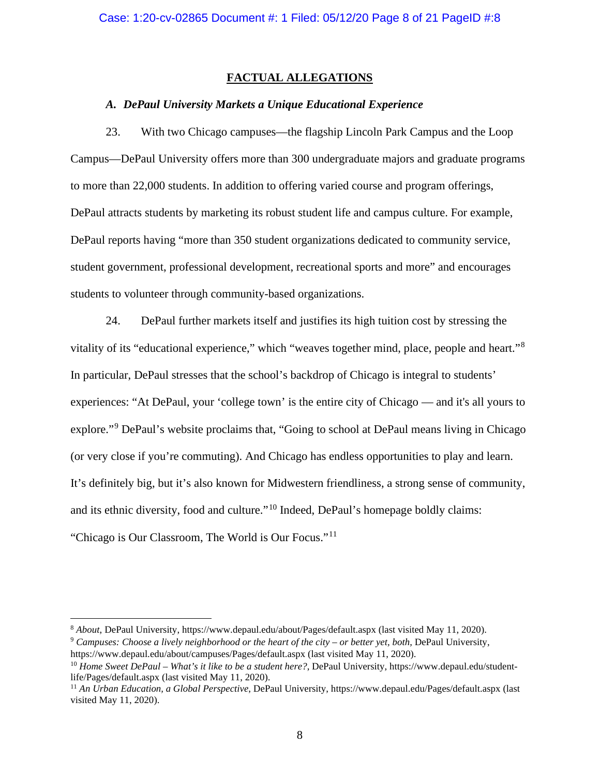## **FACTUAL ALLEGATIONS**

### *A. DePaul University Markets a Unique Educational Experience*

23. With two Chicago campuses—the flagship Lincoln Park Campus and the Loop Campus—DePaul University offers more than 300 undergraduate majors and graduate programs to more than 22,000 students. In addition to offering varied course and program offerings, DePaul attracts students by marketing its robust student life and campus culture. For example, DePaul reports having "more than 350 student organizations dedicated to community service, student government, professional development, recreational sports and more" and encourages students to volunteer through community-based organizations.

24. DePaul further markets itself and justifies its high tuition cost by stressing the vitality of its "educational experience," which "weaves together mind, place, people and heart."<sup>8</sup> In particular, DePaul stresses that the school's backdrop of Chicago is integral to students' experiences: "At DePaul, your 'college town' is the entire city of Chicago — and it's all yours to explore."<sup>9</sup> DePaul's website proclaims that, "Going to school at DePaul means living in Chicago (or very close if you're commuting). And Chicago has endless opportunities to play and learn. It's definitely big, but it's also known for Midwestern friendliness, a strong sense of community, and its ethnic diversity, food and culture."<sup>10</sup> Indeed, DePaul's homepage boldly claims: "Chicago is Our Classroom, The World is Our Focus."<sup>11</sup>

<sup>8</sup> *About*, DePaul University, https://www.depaul.edu/about/Pages/default.aspx (last visited May 11, 2020).

<sup>9</sup> *Campuses: Choose a lively neighborhood or the heart of the city – or better yet, both,* DePaul University, https://www.depaul.edu/about/campuses/Pages/default.aspx (last visited May 11, 2020).

<sup>10</sup> *Home Sweet DePaul – What's it like to be a student here?*, DePaul University, https://www.depaul.edu/studentlife/Pages/default.aspx (last visited May 11, 2020).

<sup>11</sup> *An Urban Education, a Global Perspective*, DePaul University, https://www.depaul.edu/Pages/default.aspx (last visited May 11, 2020).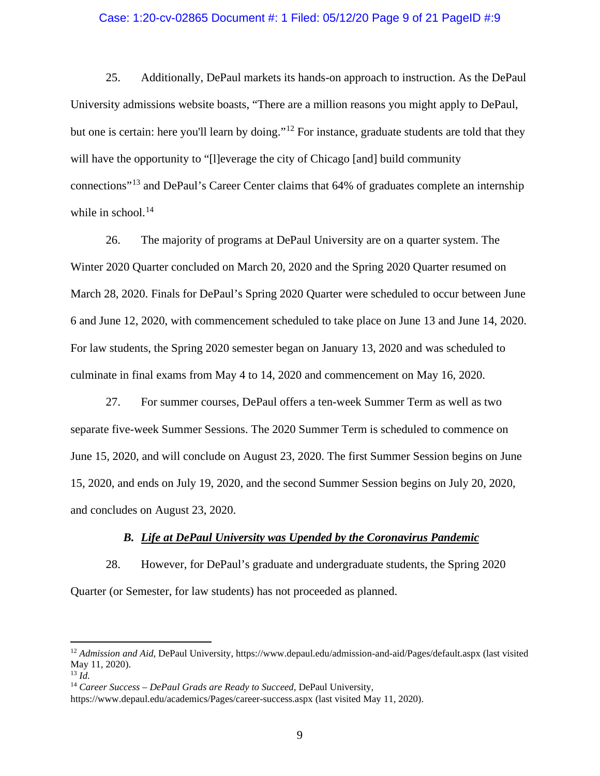### Case: 1:20-cv-02865 Document #: 1 Filed: 05/12/20 Page 9 of 21 PageID #:9

25. Additionally, DePaul markets its hands-on approach to instruction. As the DePaul University admissions website boasts, "There are a million reasons you might apply to DePaul, but one is certain: here you'll learn by doing."<sup>12</sup> For instance, graduate students are told that they will have the opportunity to "[l]everage the city of Chicago [and] build community connections"<sup>13</sup> and DePaul's Career Center claims that 64% of graduates complete an internship while in school.<sup>14</sup>

26. The majority of programs at DePaul University are on a quarter system. The Winter 2020 Quarter concluded on March 20, 2020 and the Spring 2020 Quarter resumed on March 28, 2020. Finals for DePaul's Spring 2020 Quarter were scheduled to occur between June 6 and June 12, 2020, with commencement scheduled to take place on June 13 and June 14, 2020. For law students, the Spring 2020 semester began on January 13, 2020 and was scheduled to culminate in final exams from May 4 to 14, 2020 and commencement on May 16, 2020.

27. For summer courses, DePaul offers a ten-week Summer Term as well as two separate five-week Summer Sessions. The 2020 Summer Term is scheduled to commence on June 15, 2020, and will conclude on August 23, 2020. The first Summer Session begins on June 15, 2020, and ends on July 19, 2020, and the second Summer Session begins on July 20, 2020, and concludes on August 23, 2020.

### *B. Life at DePaul University was Upended by the Coronavirus Pandemic*

28. However, for DePaul's graduate and undergraduate students, the Spring 2020 Quarter (or Semester, for law students) has not proceeded as planned.

<sup>12</sup> *Admission and Aid*, DePaul University, https://www.depaul.edu/admission-and-aid/Pages/default.aspx (last visited May 11, 2020).

<sup>13</sup> *Id.*

<sup>14</sup> *Career Success – DePaul Grads are Ready to Succeed,* DePaul University,

https://www.depaul.edu/academics/Pages/career-success.aspx (last visited May 11, 2020).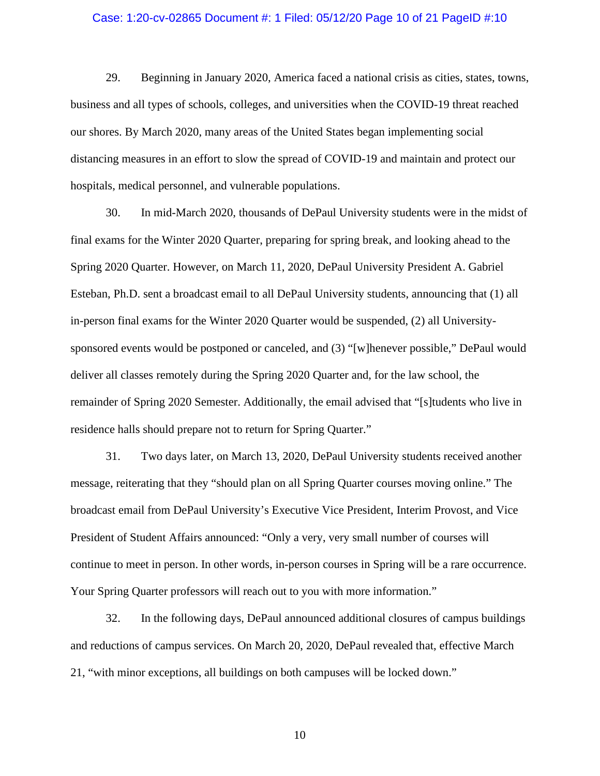### Case: 1:20-cv-02865 Document #: 1 Filed: 05/12/20 Page 10 of 21 PageID #:10

29. Beginning in January 2020, America faced a national crisis as cities, states, towns, business and all types of schools, colleges, and universities when the COVID-19 threat reached our shores. By March 2020, many areas of the United States began implementing social distancing measures in an effort to slow the spread of COVID-19 and maintain and protect our hospitals, medical personnel, and vulnerable populations.

30. In mid-March 2020, thousands of DePaul University students were in the midst of final exams for the Winter 2020 Quarter, preparing for spring break, and looking ahead to the Spring 2020 Quarter. However, on March 11, 2020, DePaul University President A. Gabriel Esteban, Ph.D. sent a broadcast email to all DePaul University students, announcing that (1) all in-person final exams for the Winter 2020 Quarter would be suspended, (2) all Universitysponsored events would be postponed or canceled, and (3) "[w]henever possible," DePaul would deliver all classes remotely during the Spring 2020 Quarter and, for the law school, the remainder of Spring 2020 Semester. Additionally, the email advised that "[s]tudents who live in residence halls should prepare not to return for Spring Quarter."

31. Two days later, on March 13, 2020, DePaul University students received another message, reiterating that they "should plan on all Spring Quarter courses moving online." The broadcast email from DePaul University's Executive Vice President, Interim Provost, and Vice President of Student Affairs announced: "Only a very, very small number of courses will continue to meet in person. In other words, in-person courses in Spring will be a rare occurrence. Your Spring Quarter professors will reach out to you with more information."

32. In the following days, DePaul announced additional closures of campus buildings and reductions of campus services. On March 20, 2020, DePaul revealed that, effective March 21, "with minor exceptions, all buildings on both campuses will be locked down."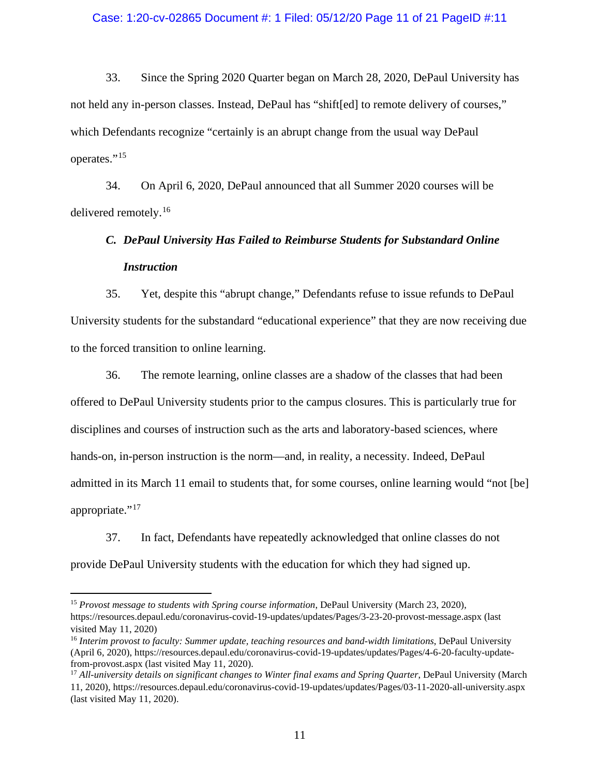### Case: 1:20-cv-02865 Document #: 1 Filed: 05/12/20 Page 11 of 21 PageID #:11

33. Since the Spring 2020 Quarter began on March 28, 2020, DePaul University has not held any in-person classes. Instead, DePaul has "shift[ed] to remote delivery of courses," which Defendants recognize "certainly is an abrupt change from the usual way DePaul operates."<sup>15</sup>

34. On April 6, 2020, DePaul announced that all Summer 2020 courses will be delivered remotely.<sup>16</sup>

# *C. DePaul University Has Failed to Reimburse Students for Substandard Online Instruction*

35. Yet, despite this "abrupt change," Defendants refuse to issue refunds to DePaul University students for the substandard "educational experience" that they are now receiving due to the forced transition to online learning.

36. The remote learning, online classes are a shadow of the classes that had been offered to DePaul University students prior to the campus closures. This is particularly true for disciplines and courses of instruction such as the arts and laboratory-based sciences, where hands-on, in-person instruction is the norm—and, in reality, a necessity. Indeed, DePaul admitted in its March 11 email to students that, for some courses, online learning would "not [be] appropriate."<sup>17</sup>

37. In fact, Defendants have repeatedly acknowledged that online classes do not provide DePaul University students with the education for which they had signed up.

<sup>15</sup> *Provost message to students with Spring course information*, DePaul University (March 23, 2020), https://resources.depaul.edu/coronavirus-covid-19-updates/updates/Pages/3-23-20-provost-message.aspx (last visited May 11, 2020)

<sup>16</sup> *Interim provost to faculty: Summer update, teaching resources and band-width limitations*, DePaul University (April 6, 2020), https://resources.depaul.edu/coronavirus-covid-19-updates/updates/Pages/4-6-20-faculty-updatefrom-provost.aspx (last visited May 11, 2020).

<sup>&</sup>lt;sup>17</sup> *All-university details on significant changes to Winter final exams and Spring Quarter*, DePaul University (March 11, 2020), https://resources.depaul.edu/coronavirus-covid-19-updates/updates/Pages/03-11-2020-all-university.aspx (last visited May 11, 2020).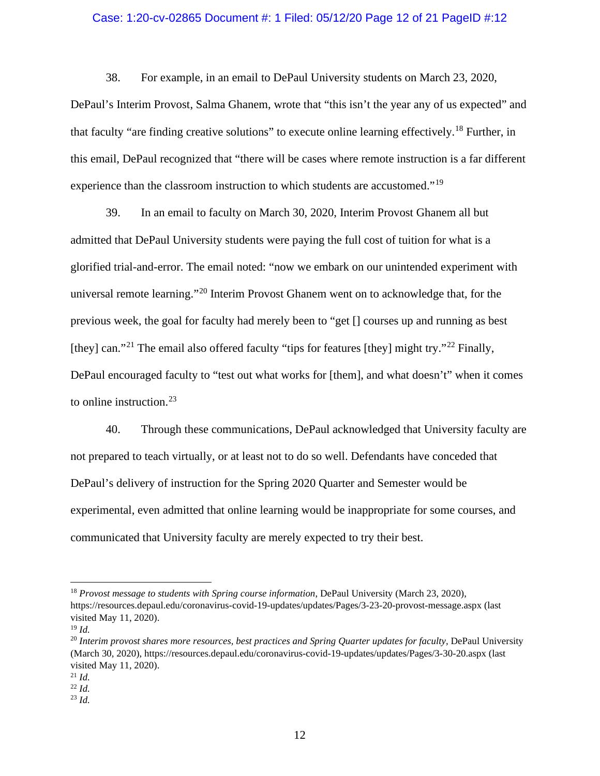### Case: 1:20-cv-02865 Document #: 1 Filed: 05/12/20 Page 12 of 21 PageID #:12

38. For example, in an email to DePaul University students on March 23, 2020, DePaul's Interim Provost, Salma Ghanem, wrote that "this isn't the year any of us expected" and that faculty "are finding creative solutions" to execute online learning effectively.<sup>18</sup> Further, in this email, DePaul recognized that "there will be cases where remote instruction is a far different experience than the classroom instruction to which students are accustomed."<sup>19</sup>

39. In an email to faculty on March 30, 2020, Interim Provost Ghanem all but admitted that DePaul University students were paying the full cost of tuition for what is a glorified trial-and-error. The email noted: "now we embark on our unintended experiment with universal remote learning."<sup>20</sup> Interim Provost Ghanem went on to acknowledge that, for the previous week, the goal for faculty had merely been to "get [] courses up and running as best [they] can."<sup>21</sup> The email also offered faculty "tips for features [they] might try."<sup>22</sup> Finally, DePaul encouraged faculty to "test out what works for [them], and what doesn't" when it comes to online instruction.<sup>23</sup>

40. Through these communications, DePaul acknowledged that University faculty are not prepared to teach virtually, or at least not to do so well. Defendants have conceded that DePaul's delivery of instruction for the Spring 2020 Quarter and Semester would be experimental, even admitted that online learning would be inappropriate for some courses, and communicated that University faculty are merely expected to try their best.

<sup>&</sup>lt;sup>18</sup> Provost message to students with Spring course information, DePaul University (March 23, 2020), https://resources.depaul.edu/coronavirus-covid-19-updates/updates/Pages/3-23-20-provost-message.aspx (last visited May 11, 2020).

<sup>19</sup> *Id.*

<sup>20</sup> *Interim provost shares more resources, best practices and Spring Quarter updates for faculty,* DePaul University (March 30, 2020), https://resources.depaul.edu/coronavirus-covid-19-updates/updates/Pages/3-30-20.aspx (last visited May 11, 2020).

<sup>21</sup> *Id.*

<sup>22</sup> *Id.*

<sup>23</sup> *Id.*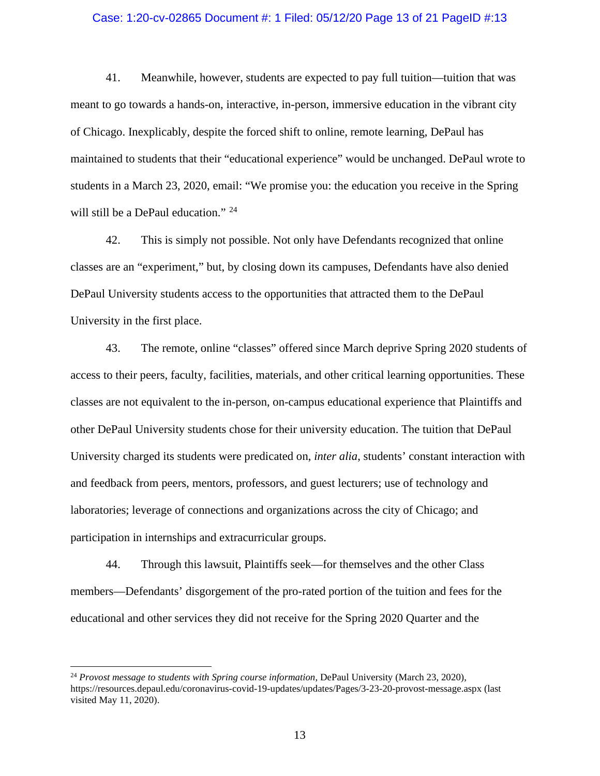## Case: 1:20-cv-02865 Document #: 1 Filed: 05/12/20 Page 13 of 21 PageID #:13

41. Meanwhile, however, students are expected to pay full tuition—tuition that was meant to go towards a hands-on, interactive, in-person, immersive education in the vibrant city of Chicago. Inexplicably, despite the forced shift to online, remote learning, DePaul has maintained to students that their "educational experience" would be unchanged. DePaul wrote to students in a March 23, 2020, email: "We promise you: the education you receive in the Spring will still be a DePaul education." <sup>24</sup>

42. This is simply not possible. Not only have Defendants recognized that online classes are an "experiment," but, by closing down its campuses, Defendants have also denied DePaul University students access to the opportunities that attracted them to the DePaul University in the first place.

43. The remote, online "classes" offered since March deprive Spring 2020 students of access to their peers, faculty, facilities, materials, and other critical learning opportunities. These classes are not equivalent to the in-person, on-campus educational experience that Plaintiffs and other DePaul University students chose for their university education. The tuition that DePaul University charged its students were predicated on, *inter alia*, students' constant interaction with and feedback from peers, mentors, professors, and guest lecturers; use of technology and laboratories; leverage of connections and organizations across the city of Chicago; and participation in internships and extracurricular groups.

44. Through this lawsuit, Plaintiffs seek—for themselves and the other Class members—Defendants' disgorgement of the pro-rated portion of the tuition and fees for the educational and other services they did not receive for the Spring 2020 Quarter and the

<sup>24</sup> *Provost message to students with Spring course information*, DePaul University (March 23, 2020), https://resources.depaul.edu/coronavirus-covid-19-updates/updates/Pages/3-23-20-provost-message.aspx (last visited May 11, 2020).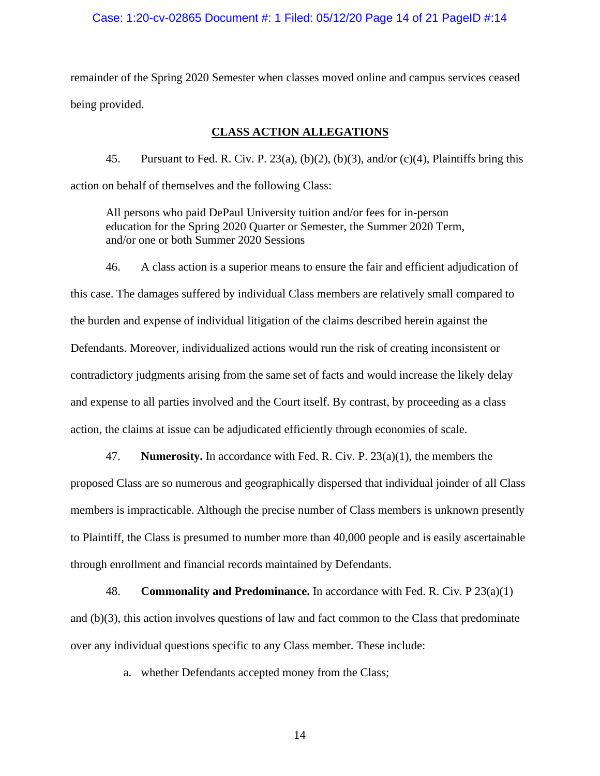### Case: 1:20-cv-02865 Document #: 1 Filed: 05/12/20 Page 14 of 21 PageID #:14

remainder of the Spring 2020 Semester when classes moved online and campus services ceased being provided.

## **CLASS ACTION ALLEGATIONS**

45. Pursuant to Fed. R. Civ. P. 23(a), (b)(2), (b)(3), and/or (c)(4), Plaintiffs bring this action on behalf of themselves and the following Class:

All persons who paid DePaul University tuition and/or fees for in-person education for the Spring 2020 Quarter or Semester, the Summer 2020 Term, and/or one or both Summer 2020 Sessions

46. A class action is a superior means to ensure the fair and efficient adjudication of this case. The damages suffered by individual Class members are relatively small compared to the burden and expense of individual litigation of the claims described herein against the Defendants. Moreover, individualized actions would run the risk of creating inconsistent or contradictory judgments arising from the same set of facts and would increase the likely delay and expense to all parties involved and the Court itself. By contrast, by proceeding as a class action, the claims at issue can be adjudicated efficiently through economies of scale.

47. **Numerosity.** In accordance with Fed. R. Civ. P. 23(a)(1), the members the proposed Class are so numerous and geographically dispersed that individual joinder of all Class members is impracticable. Although the precise number of Class members is unknown presently to Plaintiff, the Class is presumed to number more than 40,000 people and is easily ascertainable through enrollment and financial records maintained by Defendants.

48. **Commonality and Predominance.** In accordance with Fed. R. Civ. P 23(a)(1) and (b)(3), this action involves questions of law and fact common to the Class that predominate over any individual questions specific to any Class member. These include:

a. whether Defendants accepted money from the Class;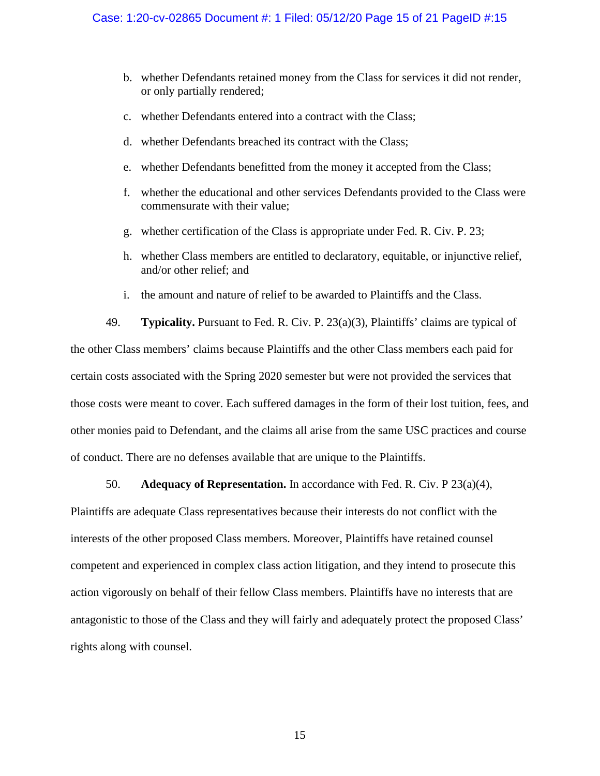- b. whether Defendants retained money from the Class for services it did not render, or only partially rendered;
- c. whether Defendants entered into a contract with the Class;
- d. whether Defendants breached its contract with the Class;
- e. whether Defendants benefitted from the money it accepted from the Class;
- f. whether the educational and other services Defendants provided to the Class were commensurate with their value;
- g. whether certification of the Class is appropriate under Fed. R. Civ. P. 23;
- h. whether Class members are entitled to declaratory, equitable, or injunctive relief, and/or other relief; and
- i. the amount and nature of relief to be awarded to Plaintiffs and the Class.

49. **Typicality.** Pursuant to Fed. R. Civ. P. 23(a)(3), Plaintiffs' claims are typical of the other Class members' claims because Plaintiffs and the other Class members each paid for certain costs associated with the Spring 2020 semester but were not provided the services that those costs were meant to cover. Each suffered damages in the form of their lost tuition, fees, and other monies paid to Defendant, and the claims all arise from the same USC practices and course of conduct. There are no defenses available that are unique to the Plaintiffs.

## 50. **Adequacy of Representation.** In accordance with Fed. R. Civ. P 23(a)(4),

Plaintiffs are adequate Class representatives because their interests do not conflict with the interests of the other proposed Class members. Moreover, Plaintiffs have retained counsel competent and experienced in complex class action litigation, and they intend to prosecute this action vigorously on behalf of their fellow Class members. Plaintiffs have no interests that are antagonistic to those of the Class and they will fairly and adequately protect the proposed Class' rights along with counsel.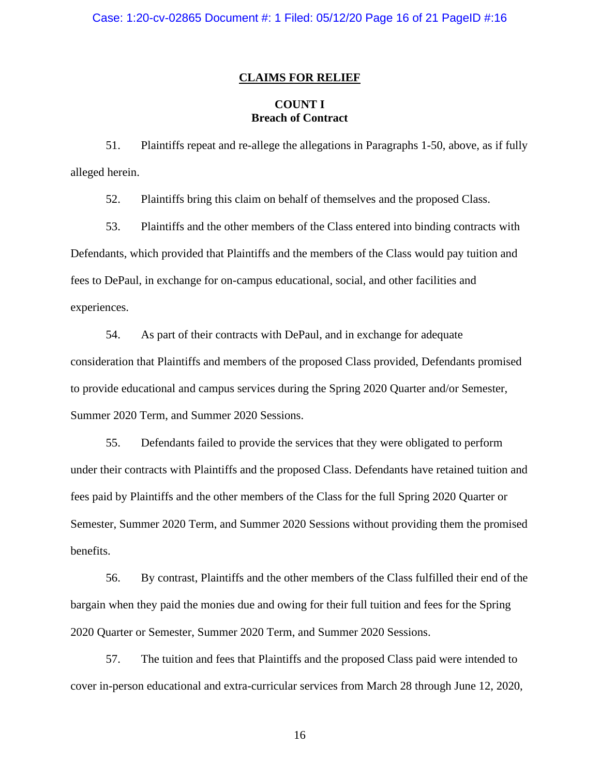### **CLAIMS FOR RELIEF**

## **COUNT I Breach of Contract**

51. Plaintiffs repeat and re-allege the allegations in Paragraphs 1-50, above, as if fully alleged herein.

52. Plaintiffs bring this claim on behalf of themselves and the proposed Class.

53. Plaintiffs and the other members of the Class entered into binding contracts with Defendants, which provided that Plaintiffs and the members of the Class would pay tuition and fees to DePaul, in exchange for on-campus educational, social, and other facilities and experiences.

54. As part of their contracts with DePaul, and in exchange for adequate consideration that Plaintiffs and members of the proposed Class provided, Defendants promised to provide educational and campus services during the Spring 2020 Quarter and/or Semester, Summer 2020 Term, and Summer 2020 Sessions.

55. Defendants failed to provide the services that they were obligated to perform under their contracts with Plaintiffs and the proposed Class. Defendants have retained tuition and fees paid by Plaintiffs and the other members of the Class for the full Spring 2020 Quarter or Semester, Summer 2020 Term, and Summer 2020 Sessions without providing them the promised benefits.

56. By contrast, Plaintiffs and the other members of the Class fulfilled their end of the bargain when they paid the monies due and owing for their full tuition and fees for the Spring 2020 Quarter or Semester, Summer 2020 Term, and Summer 2020 Sessions.

57. The tuition and fees that Plaintiffs and the proposed Class paid were intended to cover in-person educational and extra-curricular services from March 28 through June 12, 2020,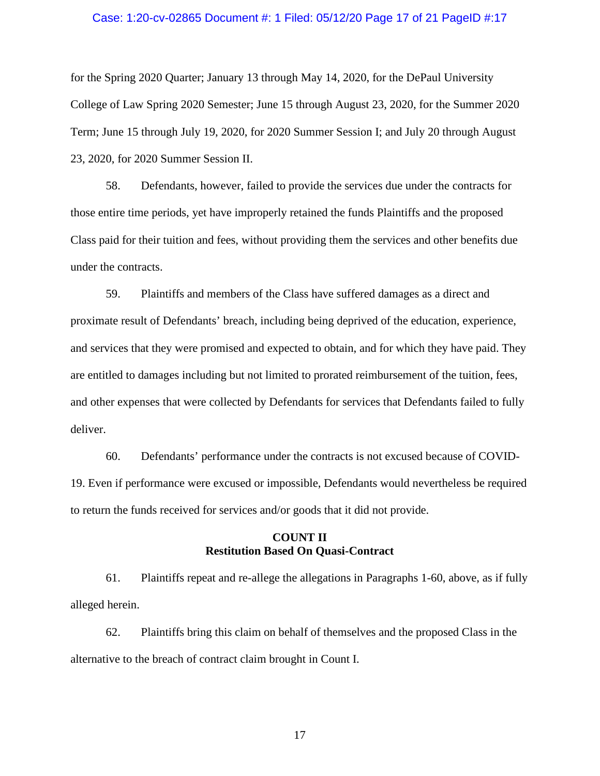### Case: 1:20-cv-02865 Document #: 1 Filed: 05/12/20 Page 17 of 21 PageID #:17

for the Spring 2020 Quarter; January 13 through May 14, 2020, for the DePaul University College of Law Spring 2020 Semester; June 15 through August 23, 2020, for the Summer 2020 Term; June 15 through July 19, 2020, for 2020 Summer Session I; and July 20 through August 23, 2020, for 2020 Summer Session II.

58. Defendants, however, failed to provide the services due under the contracts for those entire time periods, yet have improperly retained the funds Plaintiffs and the proposed Class paid for their tuition and fees, without providing them the services and other benefits due under the contracts.

59. Plaintiffs and members of the Class have suffered damages as a direct and proximate result of Defendants' breach, including being deprived of the education, experience, and services that they were promised and expected to obtain, and for which they have paid. They are entitled to damages including but not limited to prorated reimbursement of the tuition, fees, and other expenses that were collected by Defendants for services that Defendants failed to fully deliver.

60. Defendants' performance under the contracts is not excused because of COVID-19. Even if performance were excused or impossible, Defendants would nevertheless be required to return the funds received for services and/or goods that it did not provide.

## **COUNT II Restitution Based On Quasi-Contract**

61. Plaintiffs repeat and re-allege the allegations in Paragraphs 1-60, above, as if fully alleged herein.

62. Plaintiffs bring this claim on behalf of themselves and the proposed Class in the alternative to the breach of contract claim brought in Count I.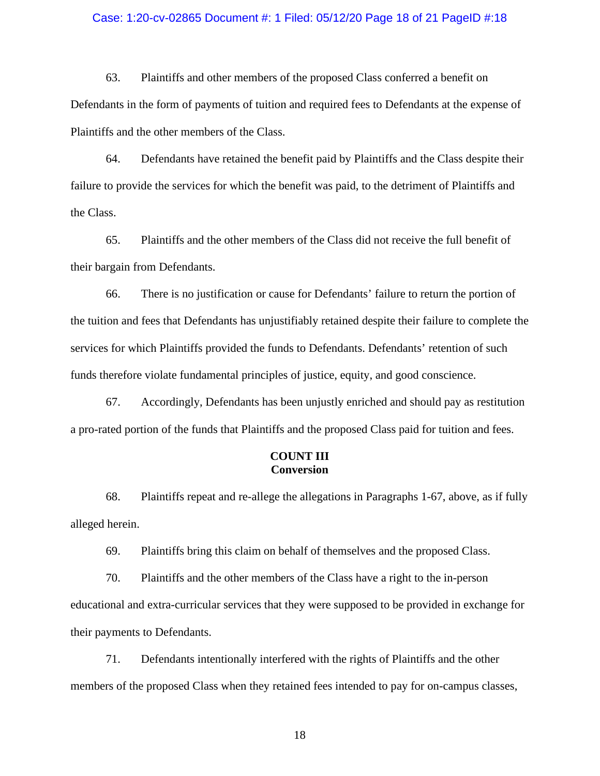### Case: 1:20-cv-02865 Document #: 1 Filed: 05/12/20 Page 18 of 21 PageID #:18

63. Plaintiffs and other members of the proposed Class conferred a benefit on Defendants in the form of payments of tuition and required fees to Defendants at the expense of Plaintiffs and the other members of the Class.

64. Defendants have retained the benefit paid by Plaintiffs and the Class despite their failure to provide the services for which the benefit was paid, to the detriment of Plaintiffs and the Class.

65. Plaintiffs and the other members of the Class did not receive the full benefit of their bargain from Defendants.

66. There is no justification or cause for Defendants' failure to return the portion of the tuition and fees that Defendants has unjustifiably retained despite their failure to complete the services for which Plaintiffs provided the funds to Defendants. Defendants' retention of such funds therefore violate fundamental principles of justice, equity, and good conscience.

67. Accordingly, Defendants has been unjustly enriched and should pay as restitution a pro-rated portion of the funds that Plaintiffs and the proposed Class paid for tuition and fees.

## **COUNT III Conversion**

68. Plaintiffs repeat and re-allege the allegations in Paragraphs 1-67, above, as if fully alleged herein.

69. Plaintiffs bring this claim on behalf of themselves and the proposed Class.

70. Plaintiffs and the other members of the Class have a right to the in-person educational and extra-curricular services that they were supposed to be provided in exchange for their payments to Defendants.

71. Defendants intentionally interfered with the rights of Plaintiffs and the other members of the proposed Class when they retained fees intended to pay for on-campus classes,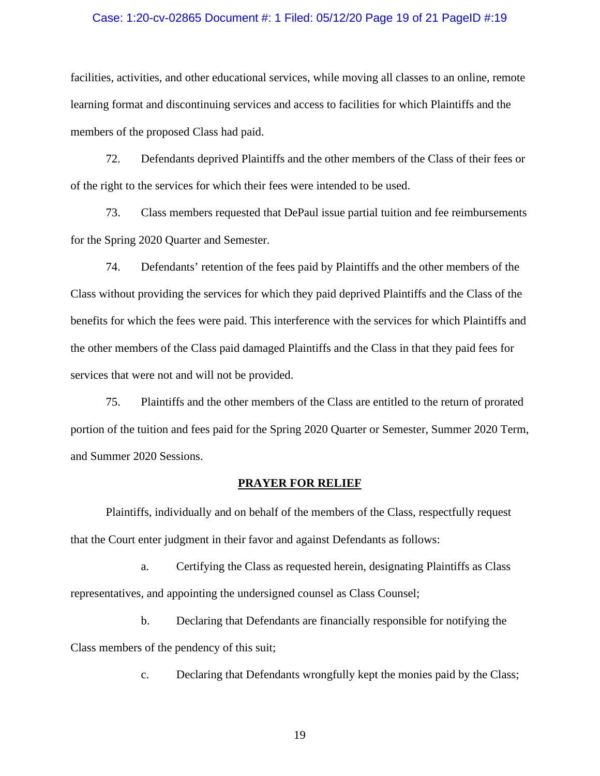### Case: 1:20-cv-02865 Document #: 1 Filed: 05/12/20 Page 19 of 21 PageID #:19

facilities, activities, and other educational services, while moving all classes to an online, remote learning format and discontinuing services and access to facilities for which Plaintiffs and the members of the proposed Class had paid.

72. Defendants deprived Plaintiffs and the other members of the Class of their fees or of the right to the services for which their fees were intended to be used.

73. Class members requested that DePaul issue partial tuition and fee reimbursements for the Spring 2020 Quarter and Semester.

74. Defendants' retention of the fees paid by Plaintiffs and the other members of the Class without providing the services for which they paid deprived Plaintiffs and the Class of the benefits for which the fees were paid. This interference with the services for which Plaintiffs and the other members of the Class paid damaged Plaintiffs and the Class in that they paid fees for services that were not and will not be provided.

75. Plaintiffs and the other members of the Class are entitled to the return of prorated portion of the tuition and fees paid for the Spring 2020 Quarter or Semester, Summer 2020 Term, and Summer 2020 Sessions.

#### **PRAYER FOR RELIEF**

Plaintiffs, individually and on behalf of the members of the Class, respectfully request that the Court enter judgment in their favor and against Defendants as follows:

a. Certifying the Class as requested herein, designating Plaintiffs as Class representatives, and appointing the undersigned counsel as Class Counsel;

b. Declaring that Defendants are financially responsible for notifying the Class members of the pendency of this suit;

c. Declaring that Defendants wrongfully kept the monies paid by the Class;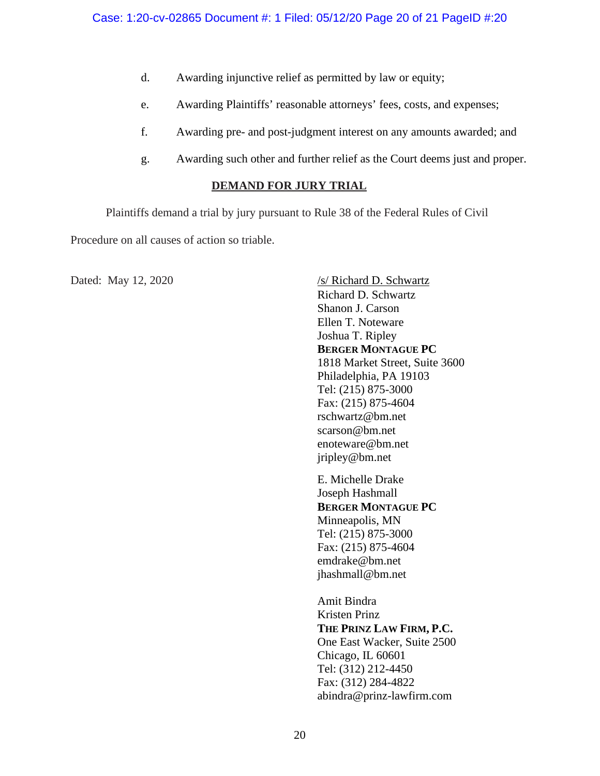- d. Awarding injunctive relief as permitted by law or equity;
- e. Awarding Plaintiffs' reasonable attorneys' fees, costs, and expenses;
- f. Awarding pre- and post-judgment interest on any amounts awarded; and
- g. Awarding such other and further relief as the Court deems just and proper.

# **DEMAND FOR JURY TRIAL**

Plaintiffs demand a trial by jury pursuant to Rule 38 of the Federal Rules of Civil

Procedure on all causes of action so triable.

Dated: May 12, 2020 /s/ Richard D. Schwartz Richard D. Schwartz Shanon J. Carson Ellen T. Noteware Joshua T. Ripley **BERGER MONTAGUE PC** 1818 Market Street, Suite 3600 Philadelphia, PA 19103 Tel: (215) 875-3000 Fax: (215) 875-4604 rschwartz@bm.net scarson@bm.net enoteware@bm.net jripley@bm.net E. Michelle Drake Joseph Hashmall **BERGER MONTAGUE PC** Minneapolis, MN Tel: (215) 875-3000 Fax: (215) 875-4604 emdrake@bm.net jhashmall@bm.net Amit Bindra Kristen Prinz **THE PRINZ LAW FIRM, P.C.** One East Wacker, Suite 2500 Chicago, IL 60601 Tel: (312) 212-4450 Fax: (312) 284-4822 abindra@prinz-lawfirm.com